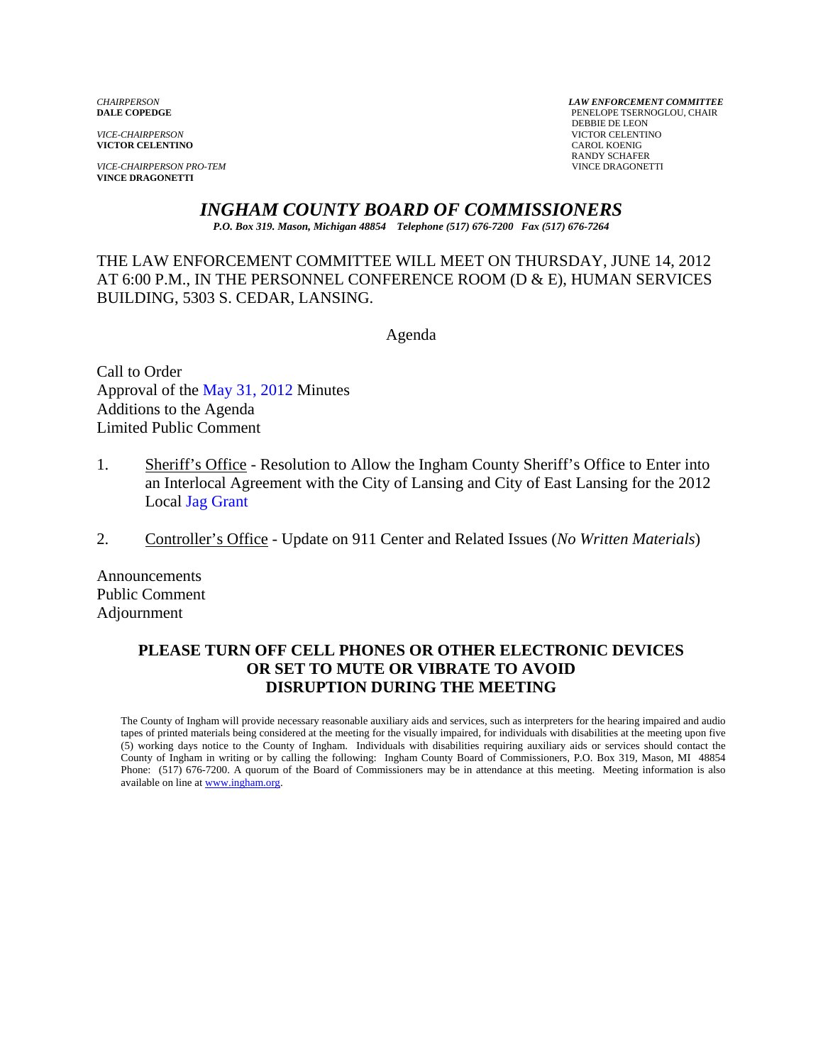**VICTOR CELENTINO** 

*VICE-CHAIRPERSON PRO-TEM* VINCE DRAGONETTI **VINCE DRAGONETTI** 

*CHAIRPERSON LAW ENFORCEMENT COMMITTEE* PENELOPE TSERNOGLOU, CHAIR **PERSUAL SERVICE-CHAIRPERSON**<br> **PERSUAL SERVICTOR CELENTI VICTOR CELENTINO**<br>CAROL KOENIG RANDY SCHAFER

*INGHAM COUNTY BOARD OF COMMISSIONERS* 

*P.O. Box 319. Mason, Michigan 48854 Telephone (517) 676-7200 Fax (517) 676-7264*

THE LAW ENFORCEMENT COMMITTEE WILL MEET ON THURSDAY, JUNE 14, 2012 AT 6:00 P.M., IN THE PERSONNEL CONFERENCE ROOM (D & E), HUMAN SERVICES BUILDING, 5303 S. CEDAR, LANSING.

Agenda

Call to Order Approval of [the May 31, 2012 Minutes](#page-1-0)  Additions to the Agenda Limited Public Comment

- 1. Sheriff's Office Resolution to Allow the Ingham County Sheriff's Office to Enter into an Interlocal Agreement with the City of Lansing and City of East Lansing for the 2012 L[ocal Jag Grant](#page-7-0)
- 2. Controller's Office Update on 911 Center and Related Issues (*No Written Materials*)

Announcements Public Comment Adjournment

## **PLEASE TURN OFF CELL PHONES OR OTHER ELECTRONIC DEVICES OR SET TO MUTE OR VIBRATE TO AVOID DISRUPTION DURING THE MEETING**

The County of Ingham will provide necessary reasonable auxiliary aids and services, such as interpreters for the hearing impaired and audio tapes of printed materials being considered at the meeting for the visually impaired, for individuals with disabilities at the meeting upon five (5) working days notice to the County of Ingham. Individuals with disabilities requiring auxiliary aids or services should contact the County of Ingham in writing or by calling the following: Ingham County Board of Commissioners, P.O. Box 319, Mason, MI 48854 Phone: (517) 676-7200. A quorum of the Board of Commissioners may be in attendance at this meeting. Meeting information is also available on line at www.ingham.org.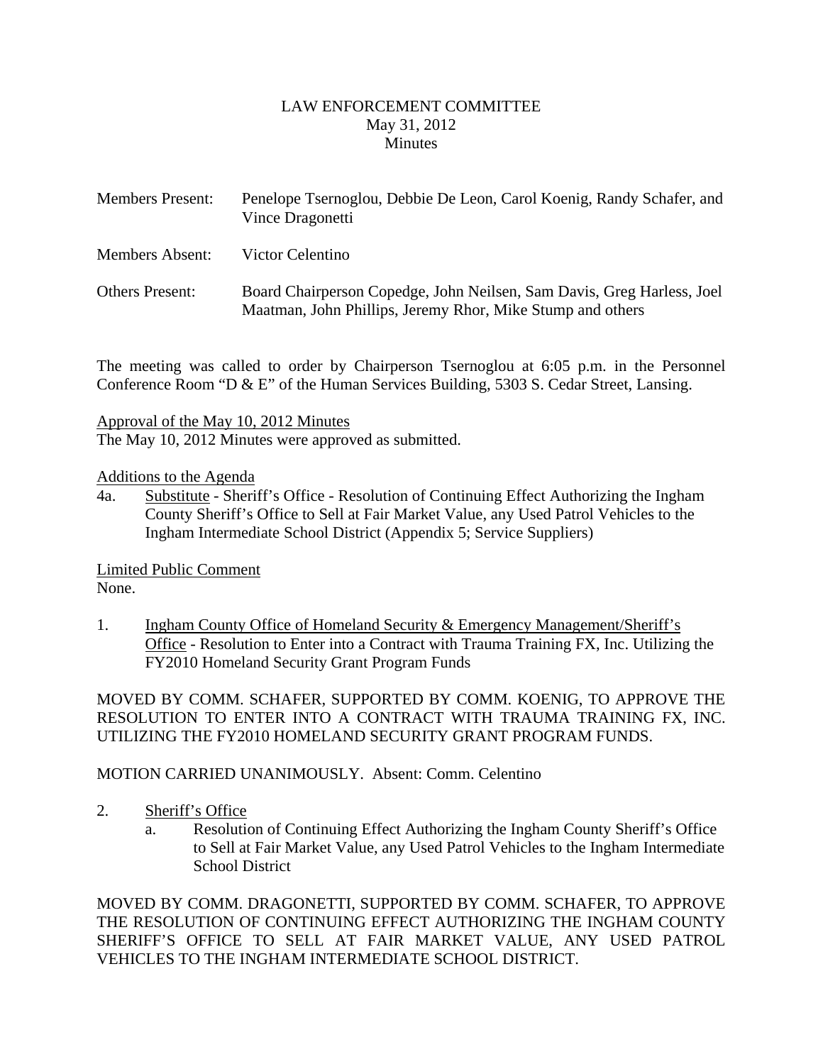### LAW ENFORCEMENT COMMITTEE May 31, 2012 **Minutes**

<span id="page-1-0"></span>

| <b>Members Present:</b> | Penelope Tsernoglou, Debbie De Leon, Carol Koenig, Randy Schafer, and<br>Vince Dragonetti                                            |
|-------------------------|--------------------------------------------------------------------------------------------------------------------------------------|
| Members Absent:         | Victor Celentino                                                                                                                     |
| <b>Others Present:</b>  | Board Chairperson Copedge, John Neilsen, Sam Davis, Greg Harless, Joel<br>Maatman, John Phillips, Jeremy Rhor, Mike Stump and others |

The meeting was called to order by Chairperson Tsernoglou at 6:05 p.m. in the Personnel Conference Room "D & E" of the Human Services Building, 5303 S. Cedar Street, Lansing.

Approval of the May 10, 2012 Minutes

The May 10, 2012 Minutes were approved as submitted.

### Additions to the Agenda

4a. Substitute - Sheriff's Office - Resolution of Continuing Effect Authorizing the Ingham County Sheriff's Office to Sell at Fair Market Value, any Used Patrol Vehicles to the Ingham Intermediate School District (Appendix 5; Service Suppliers)

Limited Public Comment None.

1. Ingham County Office of Homeland Security & Emergency Management/Sheriff's Office - Resolution to Enter into a Contract with Trauma Training FX, Inc. Utilizing the FY2010 Homeland Security Grant Program Funds

MOVED BY COMM. SCHAFER, SUPPORTED BY COMM. KOENIG, TO APPROVE THE RESOLUTION TO ENTER INTO A CONTRACT WITH TRAUMA TRAINING FX, INC. UTILIZING THE FY2010 HOMELAND SECURITY GRANT PROGRAM FUNDS.

MOTION CARRIED UNANIMOUSLY. Absent: Comm. Celentino

- 2. Sheriff's Office
	- a. Resolution of Continuing Effect Authorizing the Ingham County Sheriff's Office to Sell at Fair Market Value, any Used Patrol Vehicles to the Ingham Intermediate School District

MOVED BY COMM. DRAGONETTI, SUPPORTED BY COMM. SCHAFER, TO APPROVE THE RESOLUTION OF CONTINUING EFFECT AUTHORIZING THE INGHAM COUNTY SHERIFF'S OFFICE TO SELL AT FAIR MARKET VALUE, ANY USED PATROL VEHICLES TO THE INGHAM INTERMEDIATE SCHOOL DISTRICT.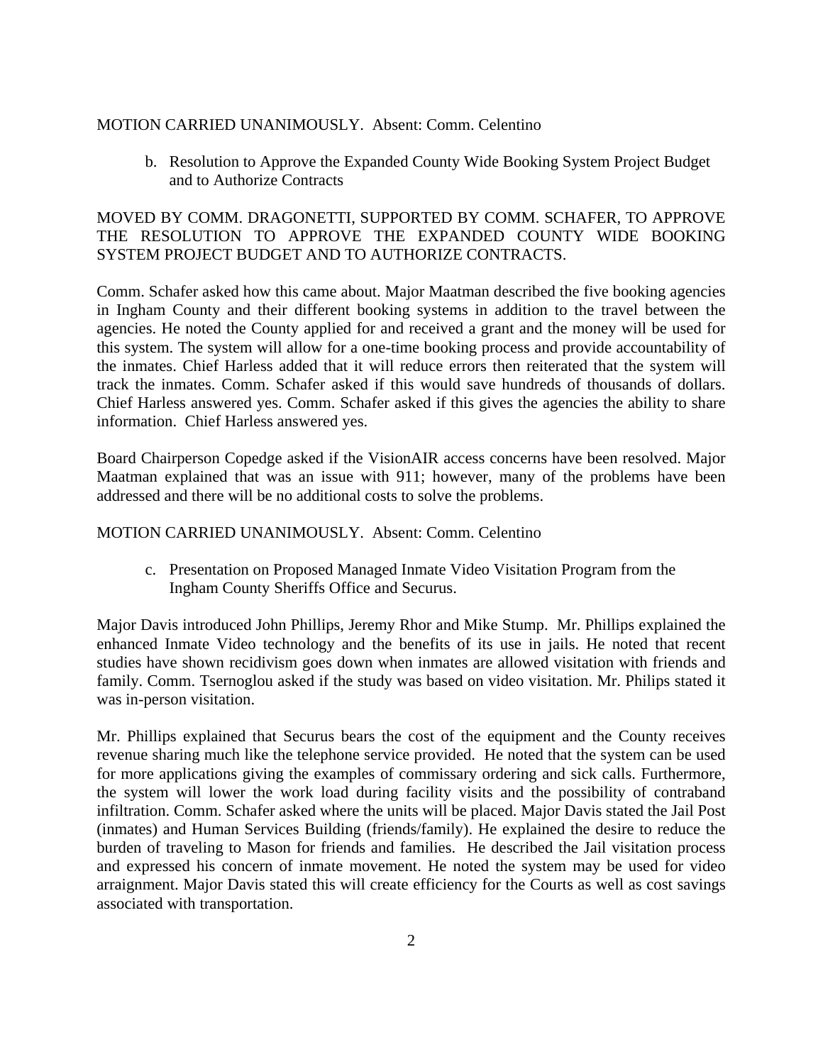### MOTION CARRIED UNANIMOUSLY. Absent: Comm. Celentino

b. Resolution to Approve the Expanded County Wide Booking System Project Budget and to Authorize Contracts

## MOVED BY COMM. DRAGONETTI, SUPPORTED BY COMM. SCHAFER, TO APPROVE THE RESOLUTION TO APPROVE THE EXPANDED COUNTY WIDE BOOKING SYSTEM PROJECT BUDGET AND TO AUTHORIZE CONTRACTS.

Comm. Schafer asked how this came about. Major Maatman described the five booking agencies in Ingham County and their different booking systems in addition to the travel between the agencies. He noted the County applied for and received a grant and the money will be used for this system. The system will allow for a one-time booking process and provide accountability of the inmates. Chief Harless added that it will reduce errors then reiterated that the system will track the inmates. Comm. Schafer asked if this would save hundreds of thousands of dollars. Chief Harless answered yes. Comm. Schafer asked if this gives the agencies the ability to share information. Chief Harless answered yes.

Board Chairperson Copedge asked if the VisionAIR access concerns have been resolved. Major Maatman explained that was an issue with 911; however, many of the problems have been addressed and there will be no additional costs to solve the problems.

#### MOTION CARRIED UNANIMOUSLY. Absent: Comm. Celentino

c. Presentation on Proposed Managed Inmate Video Visitation Program from the Ingham County Sheriffs Office and Securus.

Major Davis introduced John Phillips, Jeremy Rhor and Mike Stump. Mr. Phillips explained the enhanced Inmate Video technology and the benefits of its use in jails. He noted that recent studies have shown recidivism goes down when inmates are allowed visitation with friends and family. Comm. Tsernoglou asked if the study was based on video visitation. Mr. Philips stated it was in-person visitation.

Mr. Phillips explained that Securus bears the cost of the equipment and the County receives revenue sharing much like the telephone service provided. He noted that the system can be used for more applications giving the examples of commissary ordering and sick calls. Furthermore, the system will lower the work load during facility visits and the possibility of contraband infiltration. Comm. Schafer asked where the units will be placed. Major Davis stated the Jail Post (inmates) and Human Services Building (friends/family). He explained the desire to reduce the burden of traveling to Mason for friends and families. He described the Jail visitation process and expressed his concern of inmate movement. He noted the system may be used for video arraignment. Major Davis stated this will create efficiency for the Courts as well as cost savings associated with transportation.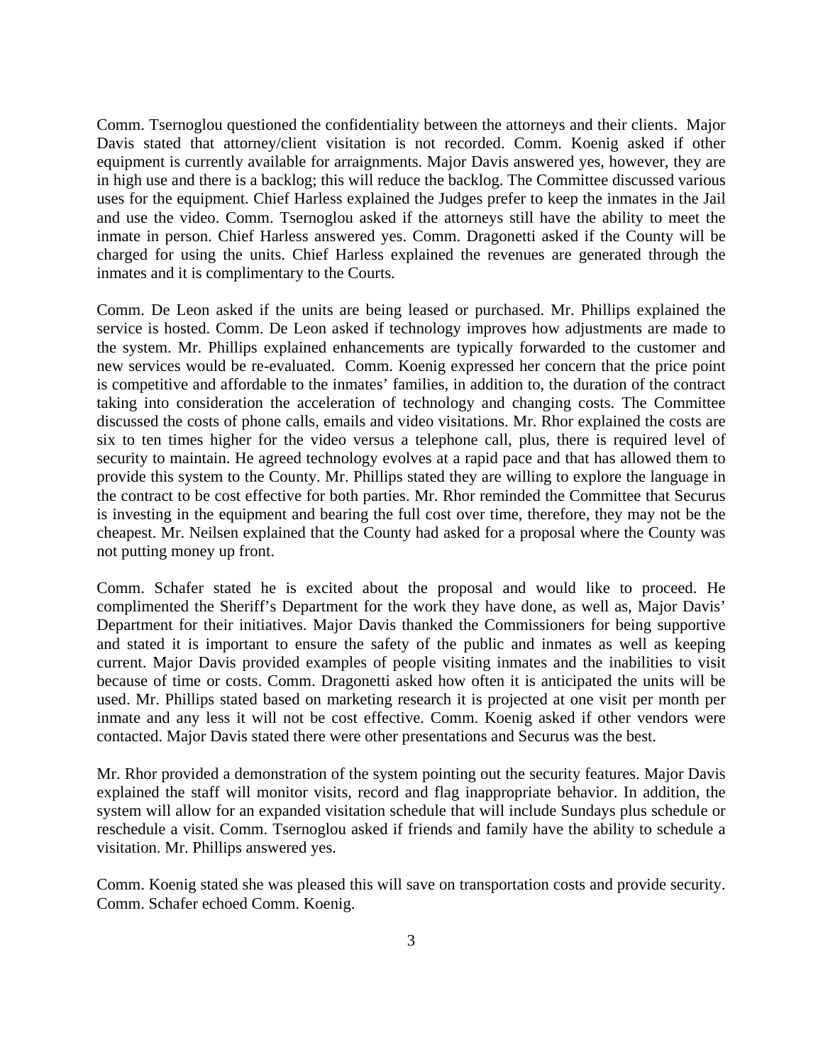Comm. Tsernoglou questioned the confidentiality between the attorneys and their clients. Major Davis stated that attorney/client visitation is not recorded. Comm. Koenig asked if other equipment is currently available for arraignments. Major Davis answered yes, however, they are in high use and there is a backlog; this will reduce the backlog. The Committee discussed various uses for the equipment. Chief Harless explained the Judges prefer to keep the inmates in the Jail and use the video. Comm. Tsernoglou asked if the attorneys still have the ability to meet the inmate in person. Chief Harless answered yes. Comm. Dragonetti asked if the County will be charged for using the units. Chief Harless explained the revenues are generated through the inmates and it is complimentary to the Courts.

Comm. De Leon asked if the units are being leased or purchased. Mr. Phillips explained the service is hosted. Comm. De Leon asked if technology improves how adjustments are made to the system. Mr. Phillips explained enhancements are typically forwarded to the customer and new services would be re-evaluated. Comm. Koenig expressed her concern that the price point is competitive and affordable to the inmates' families, in addition to, the duration of the contract taking into consideration the acceleration of technology and changing costs. The Committee discussed the costs of phone calls, emails and video visitations. Mr. Rhor explained the costs are six to ten times higher for the video versus a telephone call, plus, there is required level of security to maintain. He agreed technology evolves at a rapid pace and that has allowed them to provide this system to the County. Mr. Phillips stated they are willing to explore the language in the contract to be cost effective for both parties. Mr. Rhor reminded the Committee that Securus is investing in the equipment and bearing the full cost over time, therefore, they may not be the cheapest. Mr. Neilsen explained that the County had asked for a proposal where the County was not putting money up front.

Comm. Schafer stated he is excited about the proposal and would like to proceed. He complimented the Sheriff's Department for the work they have done, as well as, Major Davis' Department for their initiatives. Major Davis thanked the Commissioners for being supportive and stated it is important to ensure the safety of the public and inmates as well as keeping current. Major Davis provided examples of people visiting inmates and the inabilities to visit because of time or costs. Comm. Dragonetti asked how often it is anticipated the units will be used. Mr. Phillips stated based on marketing research it is projected at one visit per month per inmate and any less it will not be cost effective. Comm. Koenig asked if other vendors were contacted. Major Davis stated there were other presentations and Securus was the best.

Mr. Rhor provided a demonstration of the system pointing out the security features. Major Davis explained the staff will monitor visits, record and flag inappropriate behavior. In addition, the system will allow for an expanded visitation schedule that will include Sundays plus schedule or reschedule a visit. Comm. Tsernoglou asked if friends and family have the ability to schedule a visitation. Mr. Phillips answered yes.

Comm. Koenig stated she was pleased this will save on transportation costs and provide security. Comm. Schafer echoed Comm. Koenig.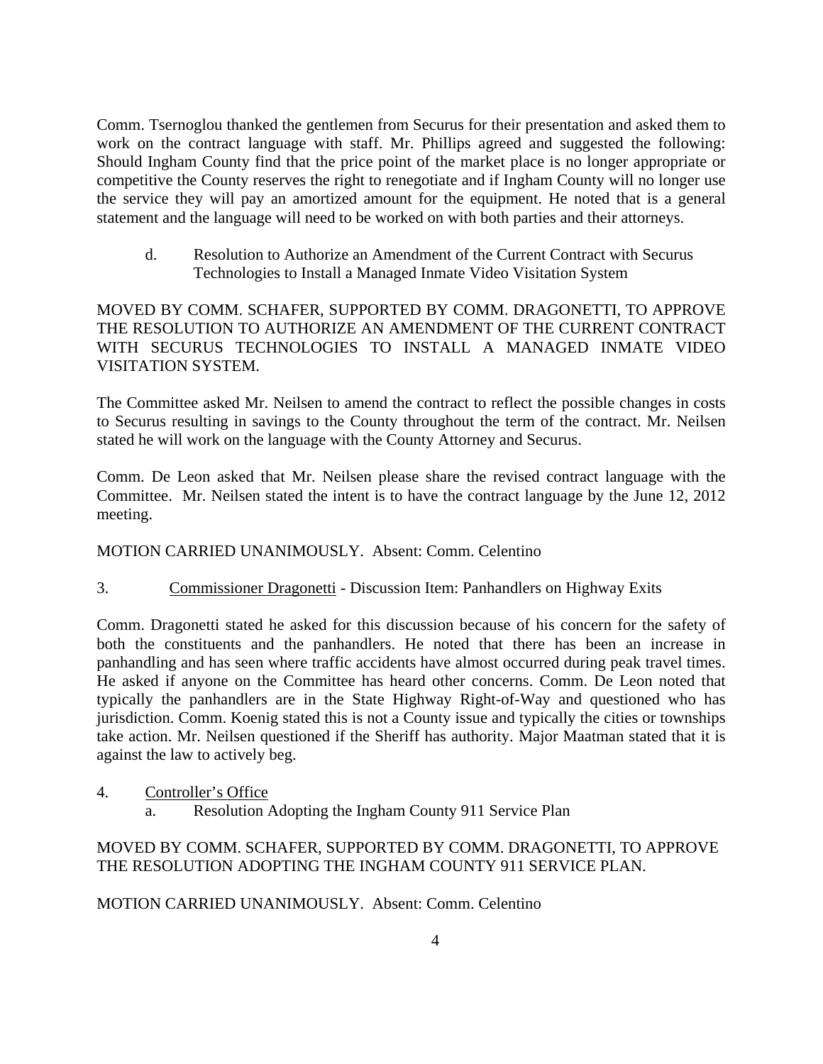Comm. Tsernoglou thanked the gentlemen from Securus for their presentation and asked them to work on the contract language with staff. Mr. Phillips agreed and suggested the following: Should Ingham County find that the price point of the market place is no longer appropriate or competitive the County reserves the right to renegotiate and if Ingham County will no longer use the service they will pay an amortized amount for the equipment. He noted that is a general statement and the language will need to be worked on with both parties and their attorneys.

d. Resolution to Authorize an Amendment of the Current Contract with Securus Technologies to Install a Managed Inmate Video Visitation System

MOVED BY COMM. SCHAFER, SUPPORTED BY COMM. DRAGONETTI, TO APPROVE THE RESOLUTION TO AUTHORIZE AN AMENDMENT OF THE CURRENT CONTRACT WITH SECURUS TECHNOLOGIES TO INSTALL A MANAGED INMATE VIDEO VISITATION SYSTEM.

The Committee asked Mr. Neilsen to amend the contract to reflect the possible changes in costs to Securus resulting in savings to the County throughout the term of the contract. Mr. Neilsen stated he will work on the language with the County Attorney and Securus.

Comm. De Leon asked that Mr. Neilsen please share the revised contract language with the Committee. Mr. Neilsen stated the intent is to have the contract language by the June 12, 2012 meeting.

# MOTION CARRIED UNANIMOUSLY. Absent: Comm. Celentino

3. Commissioner Dragonetti - Discussion Item: Panhandlers on Highway Exits

Comm. Dragonetti stated he asked for this discussion because of his concern for the safety of both the constituents and the panhandlers. He noted that there has been an increase in panhandling and has seen where traffic accidents have almost occurred during peak travel times. He asked if anyone on the Committee has heard other concerns. Comm. De Leon noted that typically the panhandlers are in the State Highway Right-of-Way and questioned who has jurisdiction. Comm. Koenig stated this is not a County issue and typically the cities or townships take action. Mr. Neilsen questioned if the Sheriff has authority. Major Maatman stated that it is against the law to actively beg.

- 4. Controller's Office
	- a. Resolution Adopting the Ingham County 911 Service Plan

# MOVED BY COMM. SCHAFER, SUPPORTED BY COMM. DRAGONETTI, TO APPROVE THE RESOLUTION ADOPTING THE INGHAM COUNTY 911 SERVICE PLAN.

MOTION CARRIED UNANIMOUSLY. Absent: Comm. Celentino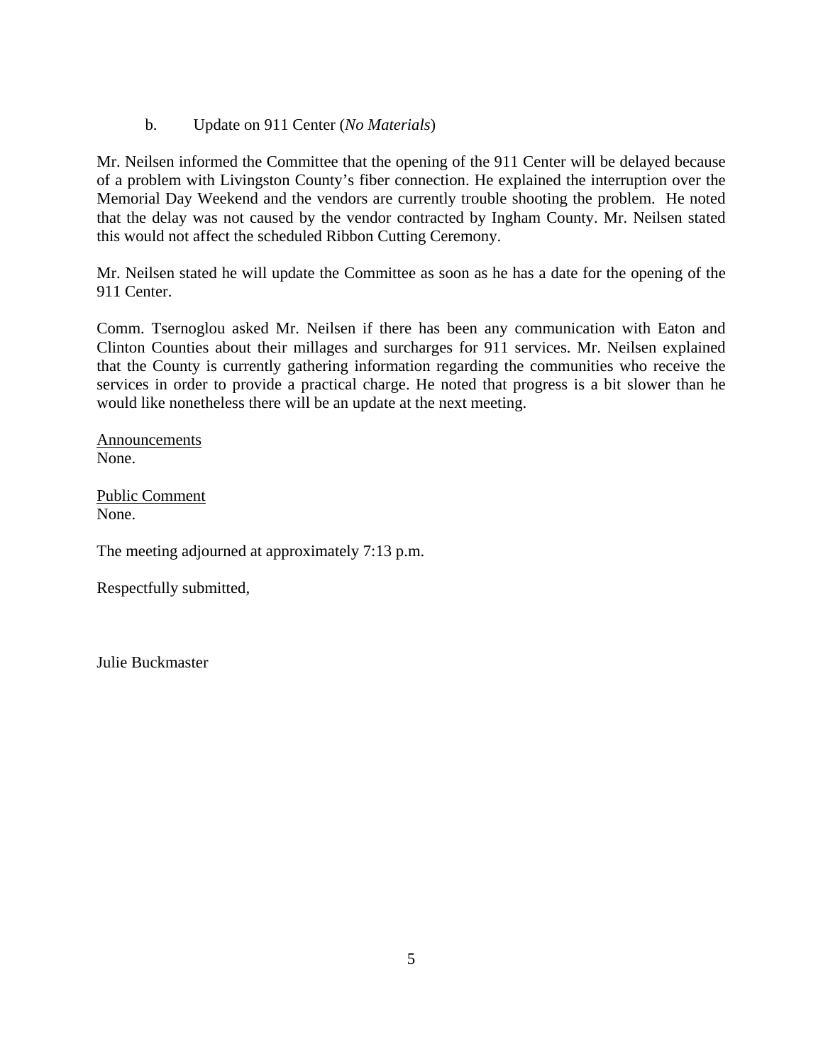b. Update on 911 Center (*No Materials*)

Mr. Neilsen informed the Committee that the opening of the 911 Center will be delayed because of a problem with Livingston County's fiber connection. He explained the interruption over the Memorial Day Weekend and the vendors are currently trouble shooting the problem. He noted that the delay was not caused by the vendor contracted by Ingham County. Mr. Neilsen stated this would not affect the scheduled Ribbon Cutting Ceremony.

Mr. Neilsen stated he will update the Committee as soon as he has a date for the opening of the 911 Center.

Comm. Tsernoglou asked Mr. Neilsen if there has been any communication with Eaton and Clinton Counties about their millages and surcharges for 911 services. Mr. Neilsen explained that the County is currently gathering information regarding the communities who receive the services in order to provide a practical charge. He noted that progress is a bit slower than he would like nonetheless there will be an update at the next meeting.

Announcements None.

Public Comment None.

The meeting adjourned at approximately 7:13 p.m.

Respectfully submitted,

Julie Buckmaster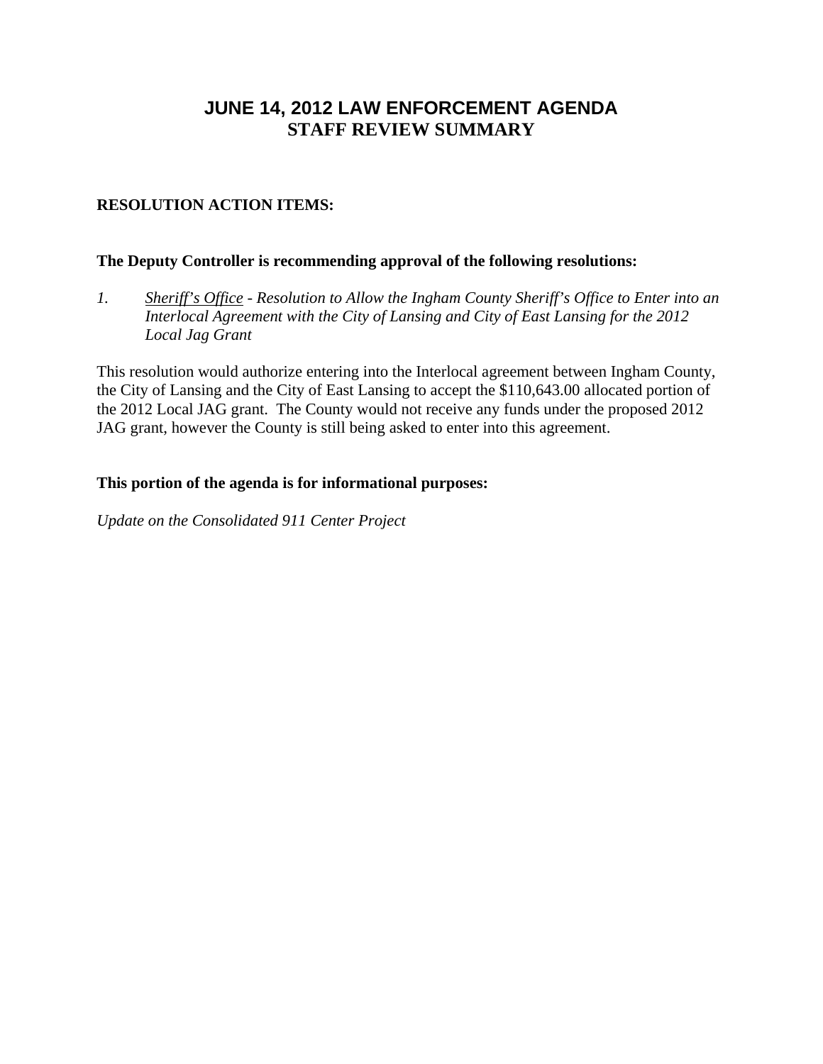# **JUNE 14, 2012 LAW ENFORCEMENT AGENDA STAFF REVIEW SUMMARY**

# **RESOLUTION ACTION ITEMS:**

## **The Deputy Controller is recommending approval of the following resolutions:**

*1. Sheriff's Office - Resolution to Allow the Ingham County Sheriff's Office to Enter into an Interlocal Agreement with the City of Lansing and City of East Lansing for the 2012 Local Jag Grant* 

This resolution would authorize entering into the Interlocal agreement between Ingham County, the City of Lansing and the City of East Lansing to accept the \$110,643.00 allocated portion of the 2012 Local JAG grant. The County would not receive any funds under the proposed 2012 JAG grant, however the County is still being asked to enter into this agreement.

## **This portion of the agenda is for informational purposes:**

*Update on the Consolidated 911 Center Project*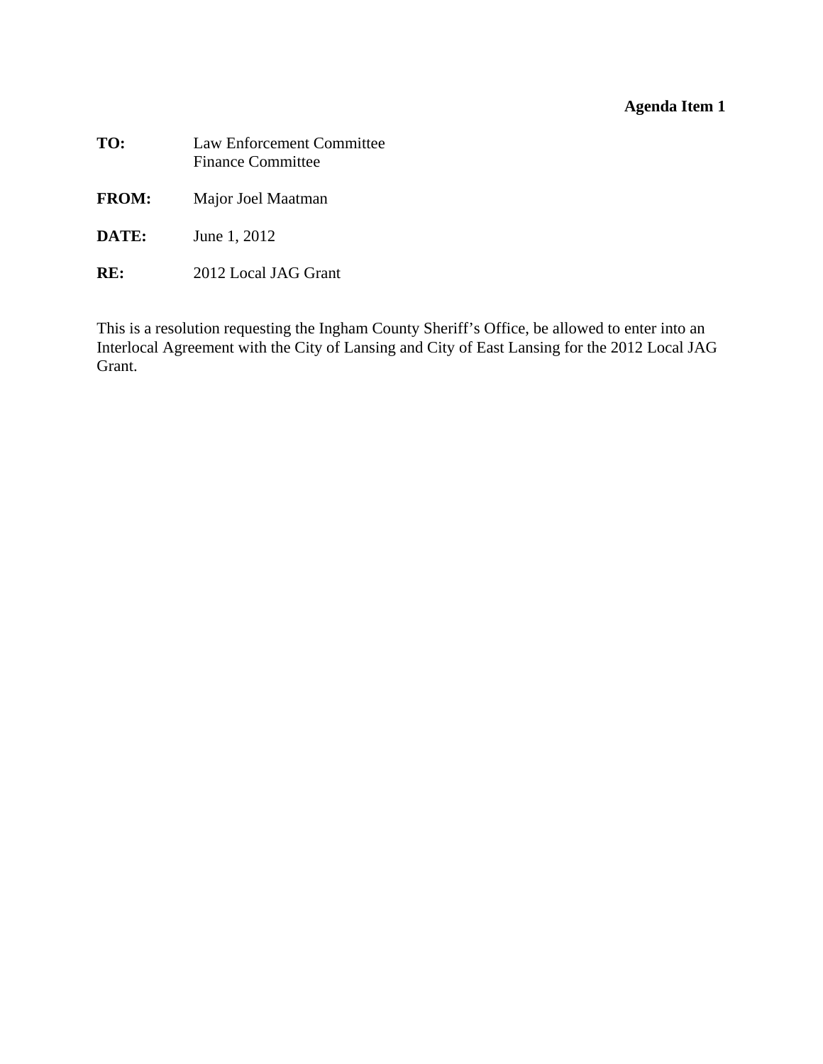# **Agenda Item 1**

<span id="page-7-0"></span>

| TO:          | <b>Law Enforcement Committee</b><br><b>Finance Committee</b> |
|--------------|--------------------------------------------------------------|
| <b>FROM:</b> | Major Joel Maatman                                           |
| DATE:        | June 1, 2012                                                 |
| RK.          | 2012 Local JAG Grant                                         |

This is a resolution requesting the Ingham County Sheriff's Office, be allowed to enter into an Interlocal Agreement with the City of Lansing and City of East Lansing for the 2012 Local JAG Grant.